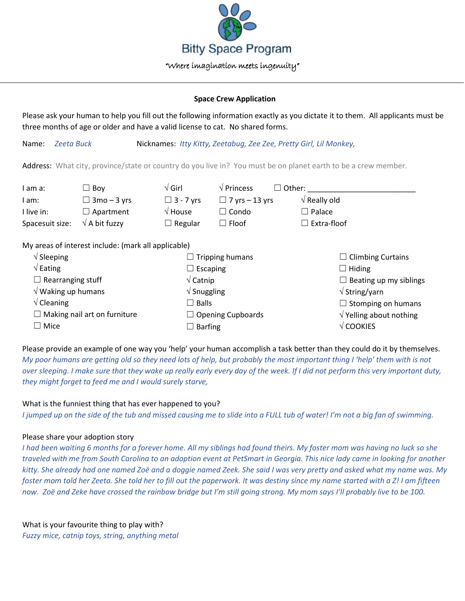

## **Space Crew Application**

Please ask your human to help you fill out the following information exactly as you dictate it to them. All applicants must be three months of age or older and have a valid license to cat. No shared forms.

Name: *Zeeta Buck* Nicknames: *Itty Kitty, Zeetabug, Zee Zee, Pretty Girl, Lil Monkey,* 

Address: What city, province/state or country do you live in? You must be on planet earth to be a crew member.

| I am a:                             | $\Box$ Boy                                          | $\sqrt{G}$ irl                 | $\sqrt{\frac{1}{1}}$ Princess<br>$\vert \ \ \vert$ | Other:                   |                                        |  |
|-------------------------------------|-----------------------------------------------------|--------------------------------|----------------------------------------------------|--------------------------|----------------------------------------|--|
| I am:                               | $\Box$ 3mo – 3 yrs                                  | $\Box$ 3 - 7 yrs               | $\Box$ 7 yrs – 13 yrs                              | $\sqrt{ }$ Really old    |                                        |  |
| I live in:                          | $\Box$ Apartment                                    | $\sqrt{2}$ House               | $\Box$ Condo                                       | $\Box$ Palace            |                                        |  |
| Spacesuit size:                     | $\sqrt{ }$ A bit fuzzy                              | $\Box$ Regular                 | $\Box$ Floof                                       | $\Box$ Extra-floof       |                                        |  |
|                                     | My areas of interest include: (mark all applicable) |                                |                                                    |                          |                                        |  |
| $\sqrt{\phantom{a}}$ Sleeping       |                                                     |                                | $\Box$ Tripping humans                             | $\Box$ Climbing Curtains |                                        |  |
| $\sqrt{\mathsf{Eating}}$            |                                                     | $\Box$ Escaping                |                                                    | $\Box$ Hiding            |                                        |  |
| $\Box$ Rearranging stuff            |                                                     | $\sqrt{\mathsf{Catnip}}$       |                                                    |                          | $\Box$ Beating up my siblings          |  |
| $\sqrt{}$ Waking up humans          |                                                     | $\sqrt{\frac{1}{2}}$ Snuggling |                                                    |                          | $\sqrt{\mathsf{String}/\mathsf{yarn}}$ |  |
| $\sqrt{\frac{1}{2}}$ Cleaning       |                                                     | $\Box$ Balls                   |                                                    |                          | $\Box$ Stomping on humans              |  |
| $\Box$ Making nail art on furniture |                                                     |                                | $\Box$ Opening Cupboards                           |                          | $\sqrt{}$ Yelling about nothing        |  |
| $\Box$ Mice                         |                                                     | $\Box$ Barfing                 |                                                    | $\sqrt{\text{COOKIES}}$  |                                        |  |

Please provide an example of one way you 'help' your human accomplish a task better than they could do it by themselves. *My poor humans are getting old so they need lots of help, but probably the most important thing I 'help' them with is not over sleeping. I make sure that they wake up really early every day of the week. If I did not perform this very important duty, they might forget to feed me and I would surely starve,*

## What is the funniest thing that has ever happened to you?

*I jumped up on the side of the tub and missed causing me to slide into a FULL tub of water! I'm not a big fan of swimming.*

## Please share your adoption story

I had been waiting 6 months for a forever home. All my siblings had found theirs. My foster mom was having no luck so she *traveled with me from South Carolina to an adoption event at PetSmart in Georgia. This nice lady came in looking for another kitty. She already had one named Zoë and a doggie named Zeek. She said I was very pretty and asked what my name was. My foster mom told her Zeeta. She told her to fill out the paperwork. It was destiny since my name started with a Z! I am fifteen now. Zoë and Zeke have crossed the rainbow bridge but I'm still going strong. My mom says I'll probably live to be 100.*

What is your favourite thing to play with? *Fuzzy mice, catnip toys, string, anything metal*